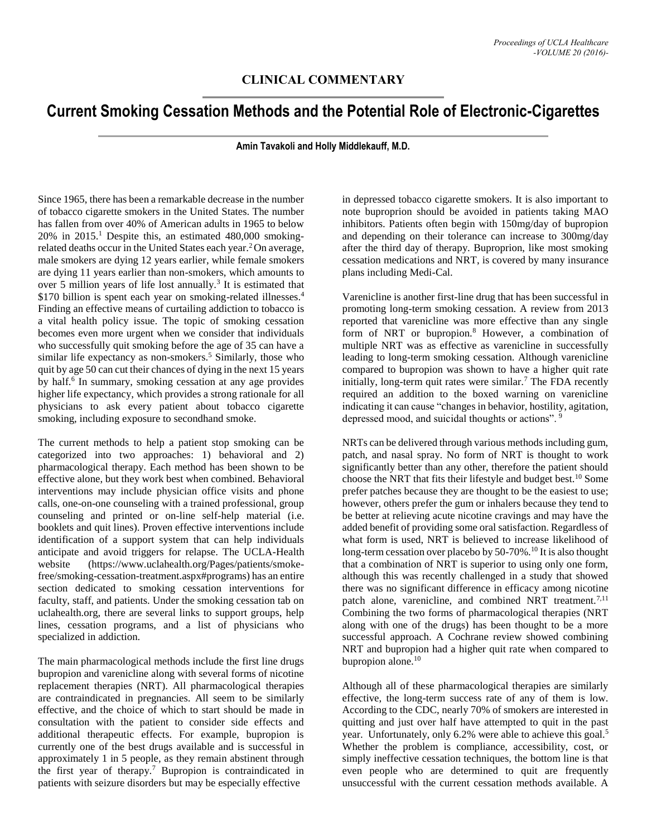## **CLINICAL COMMENTARY**

## **Current Smoking Cessation Methods and the Potential Role of Electronic-Cigarettes**

## **Amin Tavakoli and Holly Middlekauff, M.D.**

Since 1965, there has been a remarkable decrease in the number of tobacco cigarette smokers in the United States. The number has fallen from over 40% of American adults in 1965 to below  $20\%$  in  $2015$ .<sup>1</sup> Despite this, an estimated 480,000 smokingrelated deaths occur in the United States each year.<sup>2</sup> On average, male smokers are dying 12 years earlier, while female smokers are dying 11 years earlier than non-smokers, which amounts to over 5 million years of life lost annually.<sup>3</sup> It is estimated that \$170 billion is spent each year on smoking-related illnesses.<sup>4</sup> Finding an effective means of curtailing addiction to tobacco is a vital health policy issue. The topic of smoking cessation becomes even more urgent when we consider that individuals who successfully quit smoking before the age of 35 can have a similar life expectancy as non-smokers.<sup>5</sup> Similarly, those who quit by age 50 can cut their chances of dying in the next 15 years by half.<sup>6</sup> In summary, smoking cessation at any age provides higher life expectancy, which provides a strong rationale for all physicians to ask every patient about tobacco cigarette smoking, including exposure to secondhand smoke.

The current methods to help a patient stop smoking can be categorized into two approaches: 1) behavioral and 2) pharmacological therapy. Each method has been shown to be effective alone, but they work best when combined. Behavioral interventions may include physician office visits and phone calls, one-on-one counseling with a trained professional, group counseling and printed or on-line self-help material (i.e. booklets and quit lines). Proven effective interventions include identification of a support system that can help individuals anticipate and avoid triggers for relapse. The UCLA-Health website (https://www.uclahealth.org/Pages/patients/smokefree/smoking-cessation-treatment.aspx#programs) has an entire section dedicated to smoking cessation interventions for faculty, staff, and patients. Under the smoking cessation tab on uclahealth.org, there are several links to support groups, help lines, cessation programs, and a list of physicians who specialized in addiction.

The main pharmacological methods include the first line drugs bupropion and varenicline along with several forms of nicotine replacement therapies (NRT). All pharmacological therapies are contraindicated in pregnancies. All seem to be similarly effective, and the choice of which to start should be made in consultation with the patient to consider side effects and additional therapeutic effects. For example, bupropion is currently one of the best drugs available and is successful in approximately 1 in 5 people, as they remain abstinent through the first year of therapy.<sup>7</sup> Bupropion is contraindicated in patients with seizure disorders but may be especially effective

in depressed tobacco cigarette smokers. It is also important to note buproprion should be avoided in patients taking MAO inhibitors. Patients often begin with 150mg/day of bupropion and depending on their tolerance can increase to 300mg/day after the third day of therapy. Buproprion, like most smoking cessation medications and NRT, is covered by many insurance plans including Medi-Cal.

Varenicline is another first-line drug that has been successful in promoting long-term smoking cessation. A review from 2013 reported that varenicline was more effective than any single form of NRT or bupropion.<sup>8</sup> However, a combination of multiple NRT was as effective as varenicline in successfully leading to long-term smoking cessation. Although varenicline compared to bupropion was shown to have a higher quit rate initially, long-term quit rates were similar.<sup>7</sup> The FDA recently required an addition to the boxed warning on varenicline indicating it can cause "changes in behavior, hostility, agitation, depressed mood, and suicidal thoughts or actions".<sup>9</sup>

NRTs can be delivered through various methods including gum, patch, and nasal spray. No form of NRT is thought to work significantly better than any other, therefore the patient should choose the NRT that fits their lifestyle and budget best.<sup>10</sup> Some prefer patches because they are thought to be the easiest to use; however, others prefer the gum or inhalers because they tend to be better at relieving acute nicotine cravings and may have the added benefit of providing some oral satisfaction. Regardless of what form is used, NRT is believed to increase likelihood of long-term cessation over placebo by 50-70%.<sup>10</sup> It is also thought that a combination of NRT is superior to using only one form, although this was recently challenged in a study that showed there was no significant difference in efficacy among nicotine patch alone, varenicline, and combined NRT treatment.<sup>7,11</sup> Combining the two forms of pharmacological therapies (NRT along with one of the drugs) has been thought to be a more successful approach. A Cochrane review showed combining NRT and bupropion had a higher quit rate when compared to bupropion alone.<sup>10</sup>

Although all of these pharmacological therapies are similarly effective, the long-term success rate of any of them is low. According to the CDC, nearly 70% of smokers are interested in quitting and just over half have attempted to quit in the past year. Unfortunately, only 6.2% were able to achieve this goal.<sup>5</sup> Whether the problem is compliance, accessibility, cost, or simply ineffective cessation techniques, the bottom line is that even people who are determined to quit are frequently unsuccessful with the current cessation methods available. A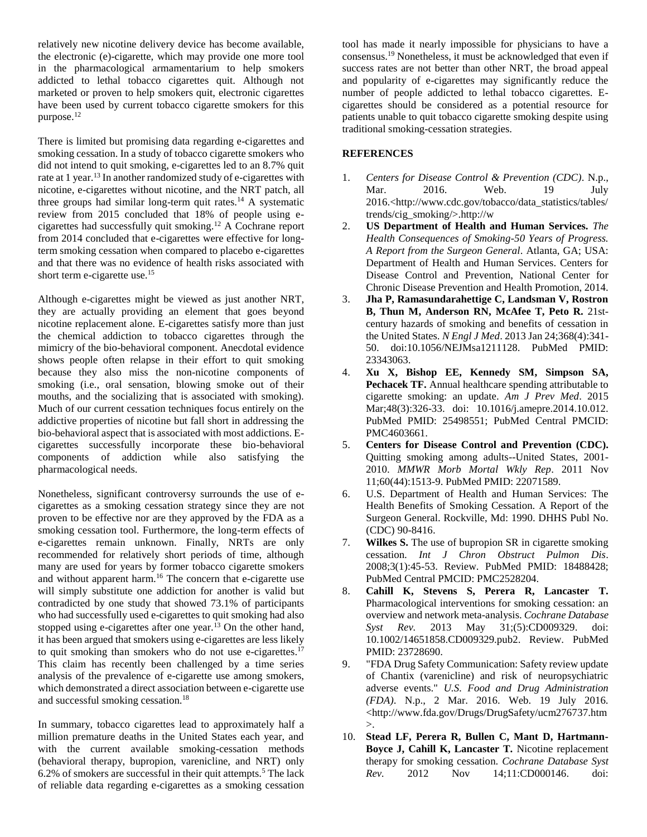relatively new nicotine delivery device has become available, the electronic (e)-cigarette, which may provide one more tool in the pharmacological armamentarium to help smokers addicted to lethal tobacco cigarettes quit. Although not marketed or proven to help smokers quit, electronic cigarettes have been used by current tobacco cigarette smokers for this purpose.<sup>12</sup>

There is limited but promising data regarding e-cigarettes and smoking cessation. In a study of tobacco cigarette smokers who did not intend to quit smoking, e-cigarettes led to an 8.7% quit rate at 1 year.<sup>13</sup> In another randomized study of e-cigarettes with nicotine, e-cigarettes without nicotine, and the NRT patch, all three groups had similar long-term quit rates.<sup>14</sup> A systematic review from 2015 concluded that 18% of people using ecigarettes had successfully quit smoking.<sup>12</sup> A Cochrane report from 2014 concluded that e-cigarettes were effective for longterm smoking cessation when compared to placebo e-cigarettes and that there was no evidence of health risks associated with short term e-cigarette use.<sup>15</sup>

Although e-cigarettes might be viewed as just another NRT, they are actually providing an element that goes beyond nicotine replacement alone. E-cigarettes satisfy more than just the chemical addiction to tobacco cigarettes through the mimicry of the bio-behavioral component. Anecdotal evidence shows people often relapse in their effort to quit smoking because they also miss the non-nicotine components of smoking (i.e., oral sensation, blowing smoke out of their mouths, and the socializing that is associated with smoking). Much of our current cessation techniques focus entirely on the addictive properties of nicotine but fall short in addressing the bio-behavioral aspect that is associated with most addictions. Ecigarettes successfully incorporate these bio-behavioral components of addiction while also satisfying the pharmacological needs.

Nonetheless, significant controversy surrounds the use of ecigarettes as a smoking cessation strategy since they are not proven to be effective nor are they approved by the FDA as a smoking cessation tool. Furthermore, the long-term effects of e-cigarettes remain unknown. Finally, NRTs are only recommended for relatively short periods of time, although many are used for years by former tobacco cigarette smokers and without apparent harm.<sup>16</sup> The concern that e-cigarette use will simply substitute one addiction for another is valid but contradicted by one study that showed 73.1% of participants who had successfully used e-cigarettes to quit smoking had also stopped using e-cigarettes after one year. $13$  On the other hand, it has been argued that smokers using e-cigarettes are less likely to quit smoking than smokers who do not use e-cigarettes.<sup>17</sup> This claim has recently been challenged by a time series analysis of the prevalence of e-cigarette use among smokers, which demonstrated a direct association between e-cigarette use and successful smoking cessation.<sup>18</sup>

In summary, tobacco cigarettes lead to approximately half a million premature deaths in the United States each year, and with the current available smoking-cessation methods (behavioral therapy, bupropion, varenicline, and NRT) only  $6.2\%$  of smokers are successful in their quit attempts.<sup>5</sup> The lack of reliable data regarding e-cigarettes as a smoking cessation

tool has made it nearly impossible for physicians to have a consensus.<sup>19</sup> Nonetheless, it must be acknowledged that even if success rates are not better than other NRT, the broad appeal and popularity of e-cigarettes may significantly reduce the number of people addicted to lethal tobacco cigarettes. Ecigarettes should be considered as a potential resource for patients unable to quit tobacco cigarette smoking despite using traditional smoking-cessation strategies.

## **REFERENCES**

- 1. *Centers for Disease Control & Prevention (CDC)*. N.p., Mar. 2016. Web. 19 July 2016.<http://www.cdc.gov/tobacco/data\_statistics/tables/ trends/cig\_smoking/>.http://w
- 2. **US Department of Health and Human Services.** *The Health Consequences of Smoking-50 Years of Progress. A Report from the Surgeon General*. Atlanta, GA; USA: Department of Health and Human Services. Centers for Disease Control and Prevention, National Center for Chronic Disease Prevention and Health Promotion, 2014.
- 3. **Jha P, Ramasundarahettige C, Landsman V, Rostron B, Thun M, Anderson RN, McAfee T, Peto R.** 21stcentury hazards of smoking and benefits of cessation in the United States. *N Engl J Med*. 2013 Jan 24;368(4):341- 50. doi:10.1056/NEJMsa1211128. PubMed PMID: 23343063.
- 4. **Xu X, Bishop EE, Kennedy SM, Simpson SA,**  Pechacek TF. Annual healthcare spending attributable to cigarette smoking: an update. *Am J Prev Med*. 2015 Mar;48(3):326-33. doi: 10.1016/j.amepre.2014.10.012. PubMed PMID: 25498551; PubMed Central PMCID: PMC4603661.
- 5. **Centers for Disease Control and Prevention (CDC).** Quitting smoking among adults--United States, 2001- 2010. *MMWR Morb Mortal Wkly Rep*. 2011 Nov 11;60(44):1513-9. PubMed PMID: 22071589.
- 6. U.S. Department of Health and Human Services: The Health Benefits of Smoking Cessation. A Report of the Surgeon General. Rockville, Md: 1990. DHHS Publ No. (CDC) 90-8416.
- 7. **Wilkes S.** The use of bupropion SR in cigarette smoking cessation. *Int J Chron Obstruct Pulmon Dis*. 2008;3(1):45-53. Review. PubMed PMID: 18488428; PubMed Central PMCID: PMC2528204.
- 8. **Cahill K, Stevens S, Perera R, Lancaster T.** Pharmacological interventions for smoking cessation: an overview and network meta-analysis. *Cochrane Database Syst Rev.* 2013 May 31;(5):CD009329. doi: 10.1002/14651858.CD009329.pub2. Review. PubMed PMID: 23728690.
- 9. "FDA Drug Safety Communication: Safety review update of Chantix (varenicline) and risk of neuropsychiatric adverse events." *U.S. Food and Drug Administration (FDA)*. N.p., 2 Mar. 2016. Web. 19 July 2016. <http://www.fda.gov/Drugs/DrugSafety/ucm276737.htm >.
- 10. **Stead LF, Perera R, Bullen C, Mant D, Hartmann-Boyce J, Cahill K, Lancaster T.** Nicotine replacement therapy for smoking cessation. *Cochrane Database Syst Rev.* 2012 Nov 14;11:CD000146. doi: